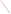